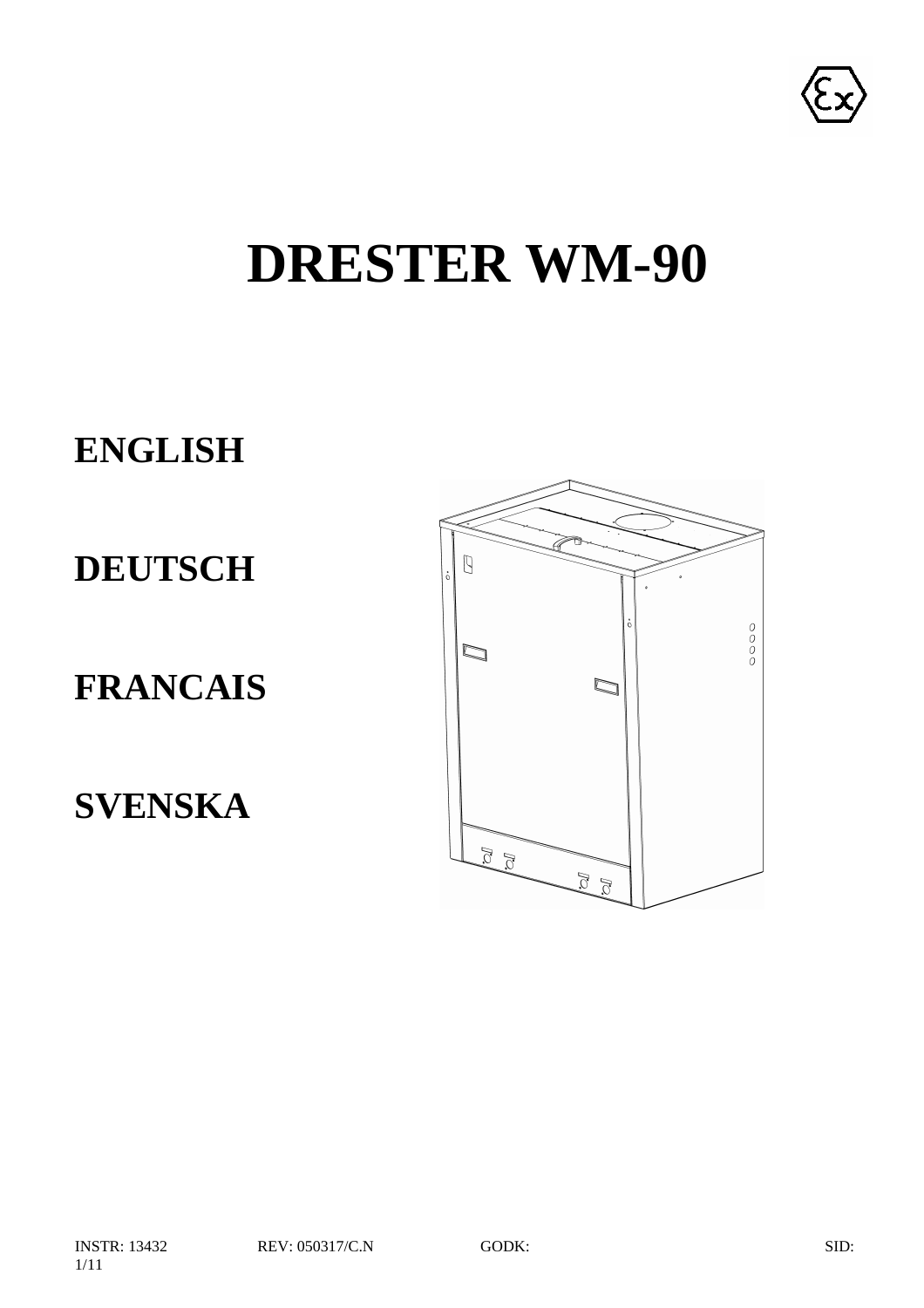

# **DRESTER WM-90**

# **ENGLISH**

**DEUTSCH**

# **FRANCAIS**

**SVENSKA**

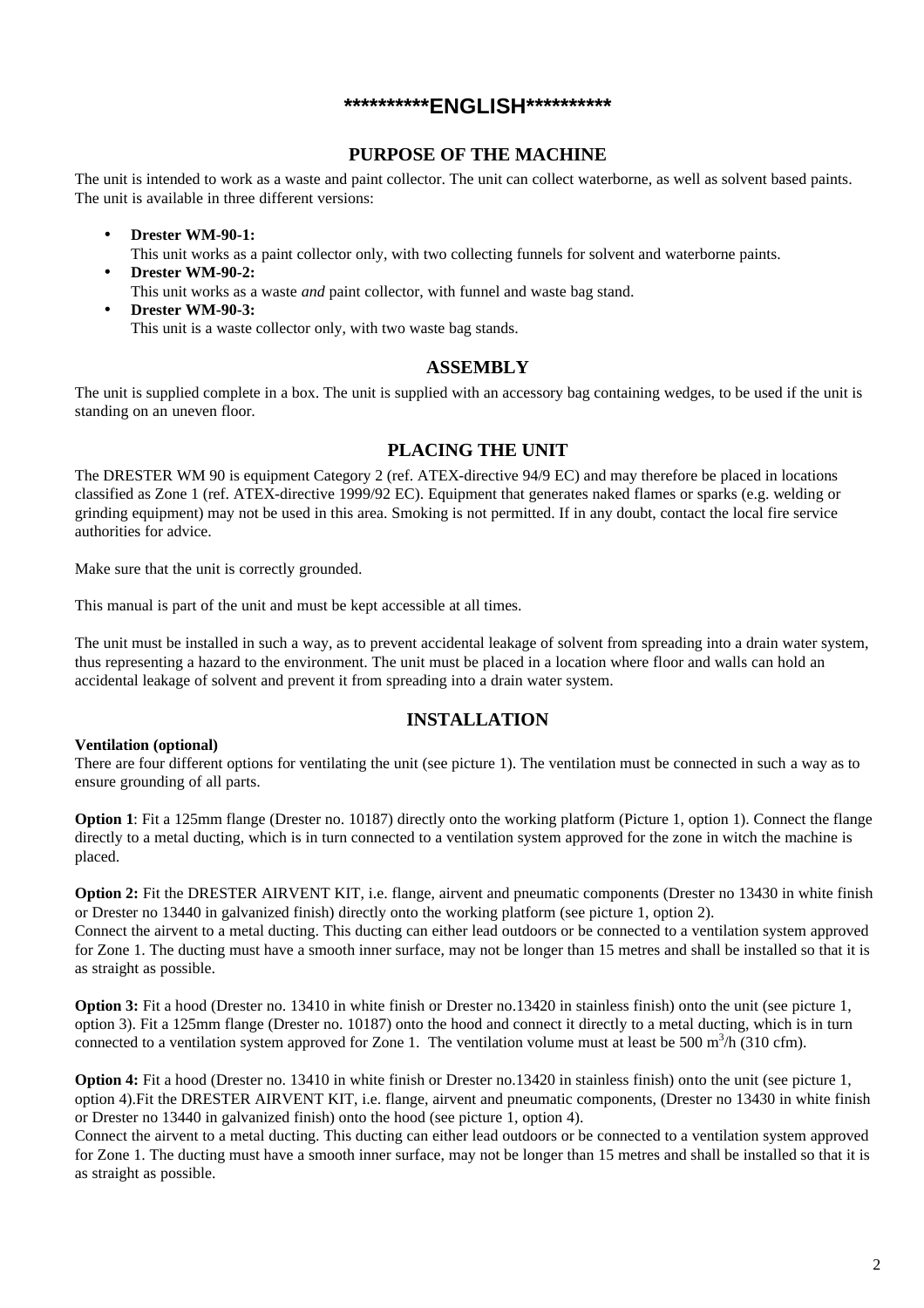#### **\*\*\*\*\*\*\*\*\*\*ENGLISH\*\*\*\*\*\*\*\*\*\***

#### **PURPOSE OF THE MACHINE**

The unit is intended to work as a waste and paint collector. The unit can collect waterborne, as well as solvent based paints. The unit is available in three different versions:

• **Drester WM-90-1:**

This unit works as a paint collector only, with two collecting funnels for solvent and waterborne paints.

• **Drester WM-90-2:** This unit works as a waste *and* paint collector, with funnel and waste bag stand. • **Drester WM-90-3:**

This unit is a waste collector only, with two waste bag stands.

#### **ASSEMBLY**

The unit is supplied complete in a box. The unit is supplied with an accessory bag containing wedges, to be used if the unit is standing on an uneven floor.

#### **PLACING THE UNIT**

The DRESTER WM 90 is equipment Category 2 (ref. ATEX-directive 94/9 EC) and may therefore be placed in locations classified as Zone 1 (ref. ATEX-directive 1999/92 EC). Equipment that generates naked flames or sparks (e.g. welding or grinding equipment) may not be used in this area. Smoking is not permitted. If in any doubt, contact the local fire service authorities for advice.

Make sure that the unit is correctly grounded.

This manual is part of the unit and must be kept accessible at all times.

The unit must be installed in such a way, as to prevent accidental leakage of solvent from spreading into a drain water system, thus representing a hazard to the environment. The unit must be placed in a location where floor and walls can hold an accidental leakage of solvent and prevent it from spreading into a drain water system.

#### **INSTALLATION**

#### **Ventilation (optional)**

There are four different options for ventilating the unit (see picture 1). The ventilation must be connected in such a way as to ensure grounding of all parts.

**Option 1**: Fit a 125mm flange (Drester no. 10187) directly onto the working platform (Picture 1, option 1). Connect the flange directly to a metal ducting, which is in turn connected to a ventilation system approved for the zone in witch the machine is placed.

**Option 2:** Fit the DRESTER AIRVENT KIT, i.e. flange, airvent and pneumatic components (Drester no 13430 in white finish or Drester no 13440 in galvanized finish) directly onto the working platform (see picture 1, option 2).

Connect the airvent to a metal ducting. This ducting can either lead outdoors or be connected to a ventilation system approved for Zone 1. The ducting must have a smooth inner surface, may not be longer than 15 metres and shall be installed so that it is as straight as possible.

**Option 3:** Fit a hood (Drester no. 13410 in white finish or Drester no.13420 in stainless finish) onto the unit (see picture 1, option 3). Fit a 125mm flange (Drester no. 10187) onto the hood and connect it directly to a metal ducting, which is in turn connected to a ventilation system approved for Zone 1. The ventilation volume must at least be 500 m<sup>3</sup>/h (310 cfm).

**Option 4:** Fit a hood (Drester no. 13410 in white finish or Drester no.13420 in stainless finish) onto the unit (see picture 1, option 4).Fit the DRESTER AIRVENT KIT, i.e. flange, airvent and pneumatic components, (Drester no 13430 in white finish or Drester no 13440 in galvanized finish) onto the hood (see picture 1, option 4).

Connect the airvent to a metal ducting. This ducting can either lead outdoors or be connected to a ventilation system approved for Zone 1. The ducting must have a smooth inner surface, may not be longer than 15 metres and shall be installed so that it is as straight as possible.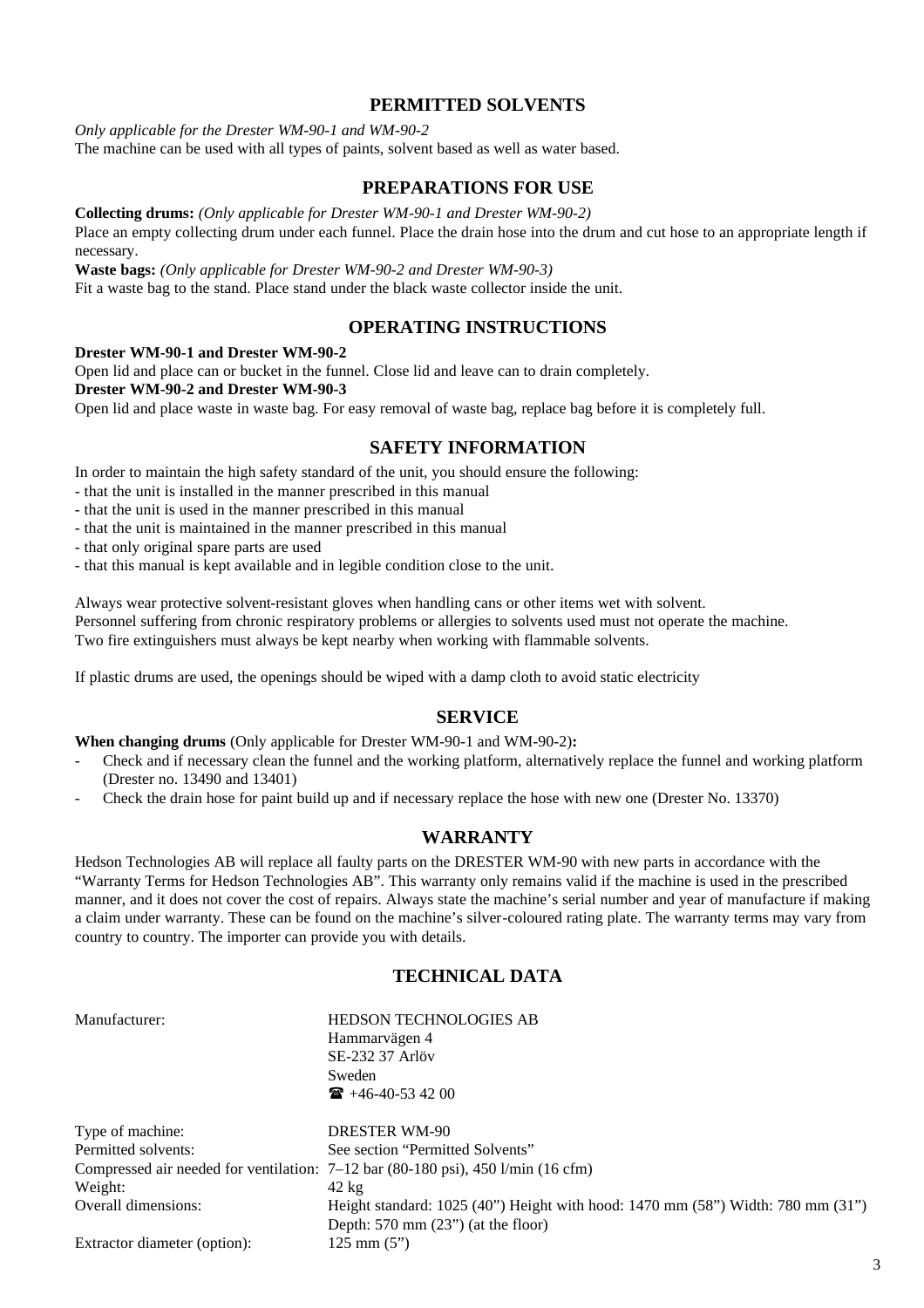#### **PERMITTED SOLVENTS**

*Only applicable for the Drester WM-90-1 and WM-90-2*

The machine can be used with all types of paints, solvent based as well as water based.

#### **PREPARATIONS FOR USE**

**Collecting drums:** *(Only applicable for Drester WM-90-1 and Drester WM-90-2)* Place an empty collecting drum under each funnel. Place the drain hose into the drum and cut hose to an appropriate length if necessary.

**Waste bags:** *(Only applicable for Drester WM-90-2 and Drester WM-90-3)*

Fit a waste bag to the stand. Place stand under the black waste collector inside the unit.

#### **OPERATING INSTRUCTIONS**

#### **Drester WM-90-1 and Drester WM-90-2**

Open lid and place can or bucket in the funnel. Close lid and leave can to drain completely.

**Drester WM-90-2 and Drester WM-90-3**

Open lid and place waste in waste bag. For easy removal of waste bag, replace bag before it is completely full.

#### **SAFETY INFORMATION**

In order to maintain the high safety standard of the unit, you should ensure the following:

- that the unit is installed in the manner prescribed in this manual
- that the unit is used in the manner prescribed in this manual
- that the unit is maintained in the manner prescribed in this manual

- that only original spare parts are used

- that this manual is kept available and in legible condition close to the unit.

Always wear protective solvent-resistant gloves when handling cans or other items wet with solvent.

Personnel suffering from chronic respiratory problems or allergies to solvents used must not operate the machine.

Two fire extinguishers must always be kept nearby when working with flammable solvents.

If plastic drums are used, the openings should be wiped with a damp cloth to avoid static electricity

#### **SERVICE**

**When changing drums** (Only applicable for Drester WM-90-1 and WM-90-2)**:**

- Check and if necessary clean the funnel and the working platform, alternatively replace the funnel and working platform (Drester no. 13490 and 13401)
- Check the drain hose for paint build up and if necessary replace the hose with new one (Drester No. 13370)

#### **WARRANTY**

Hedson Technologies AB will replace all faulty parts on the DRESTER WM-90 with new parts in accordance with the "Warranty Terms for Hedson Technologies AB". This warranty only remains valid if the machine is used in the prescribed manner, and it does not cover the cost of repairs. Always state the machine's serial number and year of manufacture if making a claim under warranty. These can be found on the machine's silver-coloured rating plate. The warranty terms may vary from country to country. The importer can provide you with details.

#### **TECHNICAL DATA**

HEDSON TECHNOLOGIES AB Hammarvägen 4 SE-232 37 Arlöv Sweden  $\bullet$  +46-40-53 42 00

| Type of machine:             | <b>DRESTER WM-90</b>                                                                       |
|------------------------------|--------------------------------------------------------------------------------------------|
| Permitted solvents:          | See section "Permitted Solvents"                                                           |
|                              | Compressed air needed for ventilation: $7-12$ bar (80-180 psi), 450 l/min (16 cfm)         |
| Weight:                      | $42 \text{ kg}$                                                                            |
| Overall dimensions:          | Height standard: $1025 (40)$ Height with hood: $1470 \text{ mm}$ (58") Width: 780 mm (31") |
|                              | Depth: $570 \text{ mm}$ (23") (at the floor)                                               |
| Extractor diameter (option): | $125 \text{ mm} (5")$                                                                      |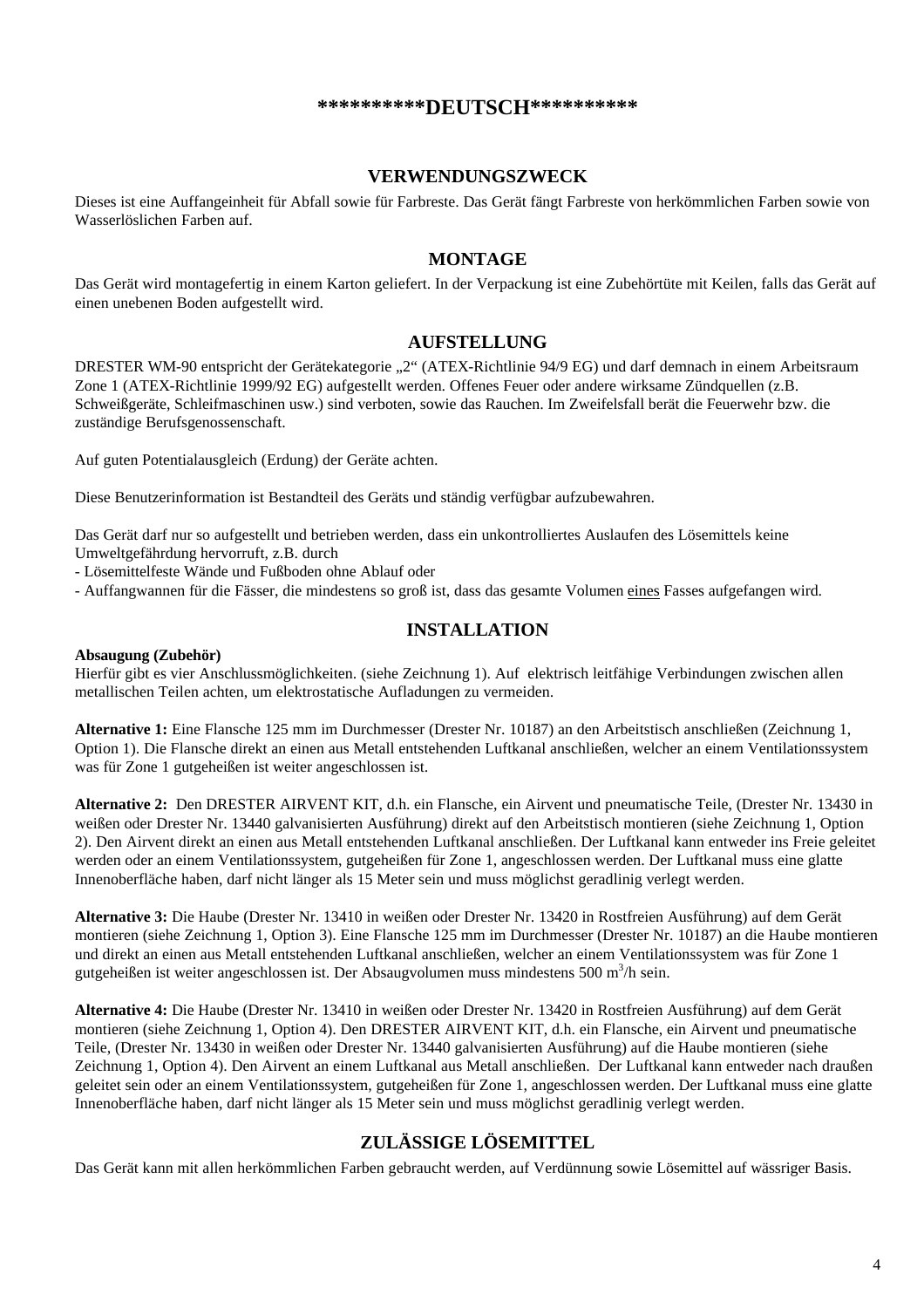#### **\*\*\*\*\*\*\*\*\*\*DEUTSCH\*\*\*\*\*\*\*\*\*\***

#### **VERWENDUNGSZWECK**

Dieses ist eine Auffangeinheit für Abfall sowie für Farbreste. Das Gerät fängt Farbreste von herkömmlichen Farben sowie von Wasserlöslichen Farben auf.

#### **MONTAGE**

Das Gerät wird montagefertig in einem Karton geliefert. In der Verpackung ist eine Zubehörtüte mit Keilen, falls das Gerät auf einen unebenen Boden aufgestellt wird.

#### **AUFSTELLUNG**

DRESTER WM-90 entspricht der Gerätekategorie "2" (ATEX-Richtlinie 94/9 EG) und darf demnach in einem Arbeitsraum Zone 1 (ATEX-Richtlinie 1999/92 EG) aufgestellt werden. Offenes Feuer oder andere wirksame Zündquellen (z.B. Schweißgeräte, Schleifmaschinen usw.) sind verboten, sowie das Rauchen. Im Zweifelsfall berät die Feuerwehr bzw. die zuständige Berufsgenossenschaft.

Auf guten Potentialausgleich (Erdung) der Geräte achten.

Diese Benutzerinformation ist Bestandteil des Geräts und ständig verfügbar aufzubewahren.

Das Gerät darf nur so aufgestellt und betrieben werden, dass ein unkontrolliertes Auslaufen des Lösemittels keine Umweltgefährdung hervorruft, z.B. durch

- Lösemittelfeste Wände und Fußboden ohne Ablauf oder

- Auffangwannen für die Fässer, die mindestens so groß ist, dass das gesamte Volumen eines Fasses aufgefangen wird.

#### **INSTALLATION**

#### **Absaugung (Zubehör)**

Hierfür gibt es vier Anschlussmöglichkeiten. (siehe Zeichnung 1). Auf elektrisch leitfähige Verbindungen zwischen allen metallischen Teilen achten, um elektrostatische Aufladungen zu vermeiden.

**Alternative 1:** Eine Flansche 125 mm im Durchmesser (Drester Nr. 10187) an den Arbeitstisch anschließen (Zeichnung 1, Option 1). Die Flansche direkt an einen aus Metall entstehenden Luftkanal anschließen, welcher an einem Ventilationssystem was für Zone 1 gutgeheißen ist weiter angeschlossen ist.

**Alternative 2:** Den DRESTER AIRVENT KIT, d.h. ein Flansche, ein Airvent und pneumatische Teile, (Drester Nr. 13430 in weißen oder Drester Nr. 13440 galvanisierten Ausführung) direkt auf den Arbeitstisch montieren (siehe Zeichnung 1, Option 2). Den Airvent direkt an einen aus Metall entstehenden Luftkanal anschließen. Der Luftkanal kann entweder ins Freie geleitet werden oder an einem Ventilationssystem, gutgeheißen für Zone 1, angeschlossen werden. Der Luftkanal muss eine glatte Innenoberfläche haben, darf nicht länger als 15 Meter sein und muss möglichst geradlinig verlegt werden.

**Alternative 3:** Die Haube (Drester Nr. 13410 in weißen oder Drester Nr. 13420 in Rostfreien Ausführung) auf dem Gerät montieren (siehe Zeichnung 1, Option 3). Eine Flansche 125 mm im Durchmesser (Drester Nr. 10187) an die Haube montieren und direkt an einen aus Metall entstehenden Luftkanal anschließen, welcher an einem Ventilationssystem was für Zone 1 gutgeheißen ist weiter angeschlossen ist. Der Absaugvolumen muss mindestens 500 m<sup>3</sup>/h sein.

**Alternative 4:** Die Haube (Drester Nr. 13410 in weißen oder Drester Nr. 13420 in Rostfreien Ausführung) auf dem Gerät montieren (siehe Zeichnung 1, Option 4). Den DRESTER AIRVENT KIT, d.h. ein Flansche, ein Airvent und pneumatische Teile, (Drester Nr. 13430 in weißen oder Drester Nr. 13440 galvanisierten Ausführung) auf die Haube montieren (siehe Zeichnung 1, Option 4). Den Airvent an einem Luftkanal aus Metall anschließen. Der Luftkanal kann entweder nach draußen geleitet sein oder an einem Ventilationssystem, gutgeheißen für Zone 1, angeschlossen werden. Der Luftkanal muss eine glatte Innenoberfläche haben, darf nicht länger als 15 Meter sein und muss möglichst geradlinig verlegt werden.

#### **ZULÄSSIGE LÖSEMITTEL**

Das Gerät kann mit allen herkömmlichen Farben gebraucht werden, auf Verdünnung sowie Lösemittel auf wässriger Basis.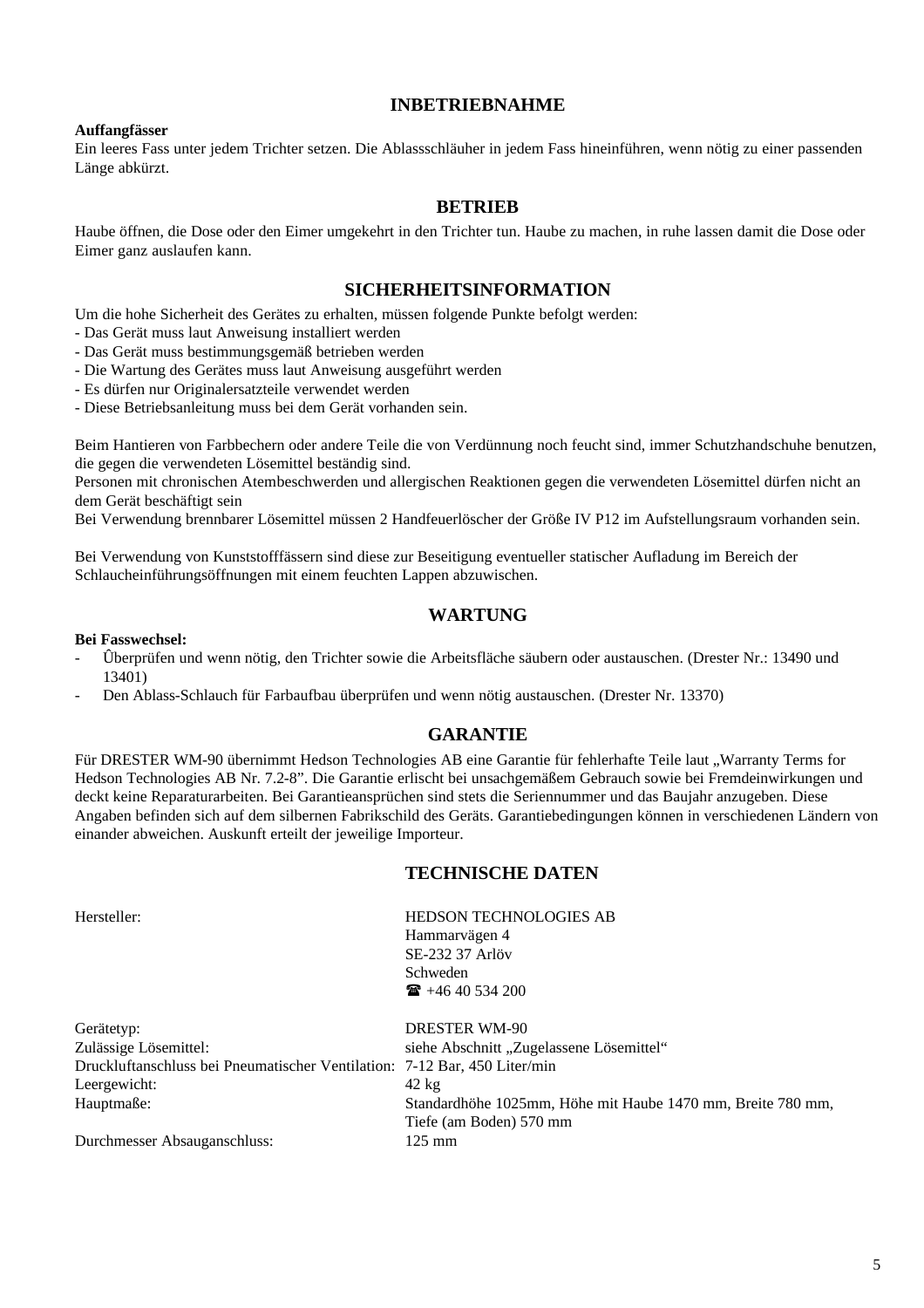#### **INBETRIEBNAHME**

#### **Auffangfässer**

Ein leeres Fass unter jedem Trichter setzen. Die Ablassschläuher in jedem Fass hineinführen, wenn nötig zu einer passenden Länge abkürzt.

#### **BETRIEB**

Haube öffnen, die Dose oder den Eimer umgekehrt in den Trichter tun. Haube zu machen, in ruhe lassen damit die Dose oder Eimer ganz auslaufen kann.

#### **SICHERHEITSINFORMATION**

Um die hohe Sicherheit des Gerätes zu erhalten, müssen folgende Punkte befolgt werden:

- Das Gerät muss laut Anweisung installiert werden
- Das Gerät muss bestimmungsgemäß betrieben werden
- Die Wartung des Gerätes muss laut Anweisung ausgeführt werden
- Es dürfen nur Originalersatzteile verwendet werden
- Diese Betriebsanleitung muss bei dem Gerät vorhanden sein.

Beim Hantieren von Farbbechern oder andere Teile die von Verdünnung noch feucht sind, immer Schutzhandschuhe benutzen, die gegen die verwendeten Lösemittel beständig sind.

Personen mit chronischen Atembeschwerden und allergischen Reaktionen gegen die verwendeten Lösemittel dürfen nicht an dem Gerät beschäftigt sein

Bei Verwendung brennbarer Lösemittel müssen 2 Handfeuerlöscher der Größe IV P12 im Aufstellungsraum vorhanden sein.

Bei Verwendung von Kunststofffässern sind diese zur Beseitigung eventueller statischer Aufladung im Bereich der Schlaucheinführungsöffnungen mit einem feuchten Lappen abzuwischen.

#### **WARTUNG**

#### **Bei Fasswechsel:**

- Ûberprüfen und wenn nötig, den Trichter sowie die Arbeitsfläche säubern oder austauschen. (Drester Nr.: 13490 und 13401)
- Den Ablass-Schlauch für Farbaufbau überprüfen und wenn nötig austauschen. (Drester Nr. 13370)

#### **GARANTIE**

Für DRESTER WM-90 übernimmt Hedson Technologies AB eine Garantie für fehlerhafte Teile laut "Warranty Terms for Hedson Technologies AB Nr. 7.2-8". Die Garantie erlischt bei unsachgemäßem Gebrauch sowie bei Fremdeinwirkungen und deckt keine Reparaturarbeiten. Bei Garantieansprüchen sind stets die Seriennummer und das Baujahr anzugeben. Diese Angaben befinden sich auf dem silbernen Fabrikschild des Geräts. Garantiebedingungen können in verschiedenen Ländern von einander abweichen. Auskunft erteilt der jeweilige Importeur.

#### **TECHNISCHE DATEN**

| Hersteller:                                                               | <b>HEDSON TECHNOLOGIES AB</b>                               |
|---------------------------------------------------------------------------|-------------------------------------------------------------|
|                                                                           | Hammarvägen 4                                               |
|                                                                           | SE-232 37 Arlöv                                             |
|                                                                           | Schweden                                                    |
|                                                                           | $\mathbf{R}$ +46 40 534 200                                 |
| Gerätetyp:                                                                | <b>DRESTER WM-90</b>                                        |
| Zulässige Lösemittel:                                                     | siehe Abschnitt "Zugelassene Lösemittel"                    |
| Druckluftanschluss bei Pneumatischer Ventilation: 7-12 Bar, 450 Liter/min |                                                             |
| Leergewicht:                                                              | $42 \text{ kg}$                                             |
| Hauptmaße:                                                                | Standardhöhe 1025mm, Höhe mit Haube 1470 mm, Breite 780 mm, |

Tiefe (am Boden) 570 mm

Durchmesser Absauganschluss: 125 mm

5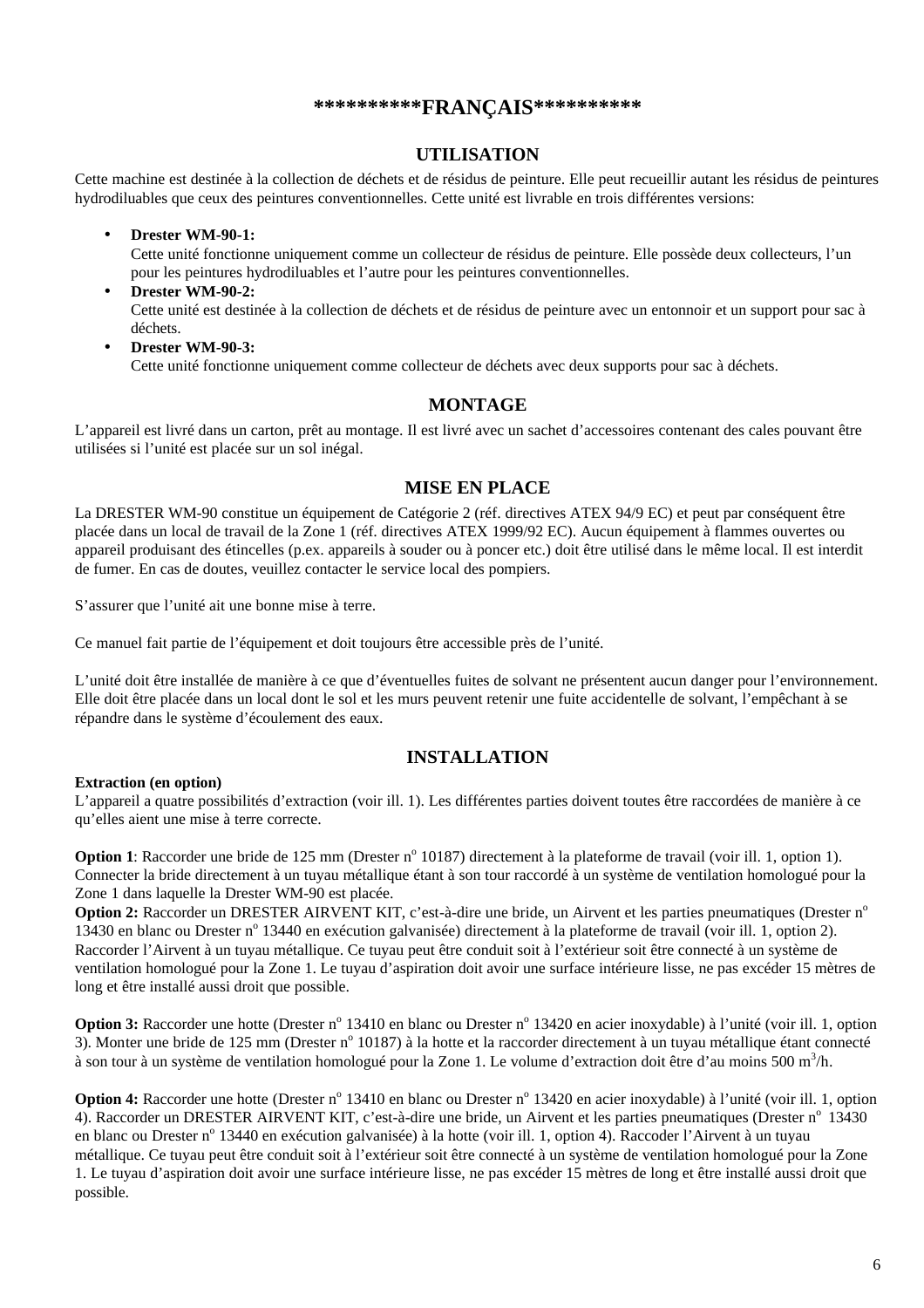#### **\*\*\*\*\*\*\*\*\*\*FRANÇAIS\*\*\*\*\*\*\*\*\*\***

#### **UTILISATION**

Cette machine est destinée à la collection de déchets et de résidus de peinture. Elle peut recueillir autant les résidus de peintures hydrodiluables que ceux des peintures conventionnelles. Cette unité est livrable en trois différentes versions:

- **Drester WM-90-1:** Cette unité fonctionne uniquement comme un collecteur de résidus de peinture. Elle possède deux collecteurs, l'un pour les peintures hydrodiluables et l'autre pour les peintures conventionnelles.
- **Drester WM-90-2:** Cette unité est destinée à la collection de déchets et de résidus de peinture avec un entonnoir et un support pour sac à déchets.
- **Drester WM-90-3:** Cette unité fonctionne uniquement comme collecteur de déchets avec deux supports pour sac à déchets.

#### **MONTAGE**

L'appareil est livré dans un carton, prêt au montage. Il est livré avec un sachet d'accessoires contenant des cales pouvant être utilisées si l'unité est placée sur un sol inégal.

#### **MISE EN PLACE**

La DRESTER WM-90 constitue un équipement de Catégorie 2 (réf. directives ATEX 94/9 EC) et peut par conséquent être placée dans un local de travail de la Zone 1 (réf. directives ATEX 1999/92 EC). Aucun équipement à flammes ouvertes ou appareil produisant des étincelles (p.ex. appareils à souder ou à poncer etc.) doit être utilisé dans le même local. Il est interdit de fumer. En cas de doutes, veuillez contacter le service local des pompiers.

S'assurer que l'unité ait une bonne mise à terre.

Ce manuel fait partie de l'équipement et doit toujours être accessible près de l'unité.

L'unité doit être installée de manière à ce que d'éventuelles fuites de solvant ne présentent aucun danger pour l'environnement. Elle doit être placée dans un local dont le sol et les murs peuvent retenir une fuite accidentelle de solvant, l'empêchant à se répandre dans le système d'écoulement des eaux.

#### **INSTALLATION**

#### **Extraction (en option)**

L'appareil a quatre possibilités d'extraction (voir ill. 1). Les différentes parties doivent toutes être raccordées de manière à ce qu'elles aient une mise à terre correcte.

Option 1: Raccorder une bride de 125 mm (Drester n<sup>o</sup> 10187) directement à la plateforme de travail (voir ill. 1, option 1). Connecter la bride directement à un tuyau métallique étant à son tour raccordé à un système de ventilation homologué pour la Zone 1 dans laquelle la Drester WM-90 est placée.

**Option 2:** Raccorder un DRESTER AIRVENT KIT, c'est-à-dire une bride, un Airvent et les parties pneumatiques (Drester n<sup>o</sup> 13430 en blanc ou Drester n<sup>o</sup> 13440 en exécution galvanisée) directement à la plateforme de travail (voir ill. 1, option 2). Raccorder l'Airvent à un tuyau métallique. Ce tuyau peut être conduit soit à l'extérieur soit être connecté à un système de ventilation homologué pour la Zone 1. Le tuyau d'aspiration doit avoir une surface intérieure lisse, ne pas excéder 15 mètres de long et être installé aussi droit que possible.

Option 3: Raccorder une hotte (Drester n<sup>o</sup> 13410 en blanc ou Drester n<sup>o</sup> 13420 en acier inoxydable) à l'unité (voir ill. 1, option 3). Monter une bride de 125 mm (Drester nº 10187) à la hotte et la raccorder directement à un tuyau métallique étant connecté à son tour à un système de ventilation homologué pour la Zone 1. Le volume d'extraction doit être d'au moins 500 m<sup>3</sup>/h.

Option 4: Raccorder une hotte (Drester n<sup>o</sup> 13410 en blanc ou Drester n<sup>o</sup> 13420 en acier inoxydable) à l'unité (voir ill. 1, option 4). Raccorder un DRESTER AIRVENT KIT, c'est-à-dire une bride, un Airvent et les parties pneumatiques (Drester n° 13430 en blanc ou Drester nº 13440 en exécution galvanisée) à la hotte (voir ill. 1, option 4). Raccoder l'Airvent à un tuyau métallique. Ce tuyau peut être conduit soit à l'extérieur soit être connecté à un système de ventilation homologué pour la Zone 1. Le tuyau d'aspiration doit avoir une surface intérieure lisse, ne pas excéder 15 mètres de long et être installé aussi droit que possible.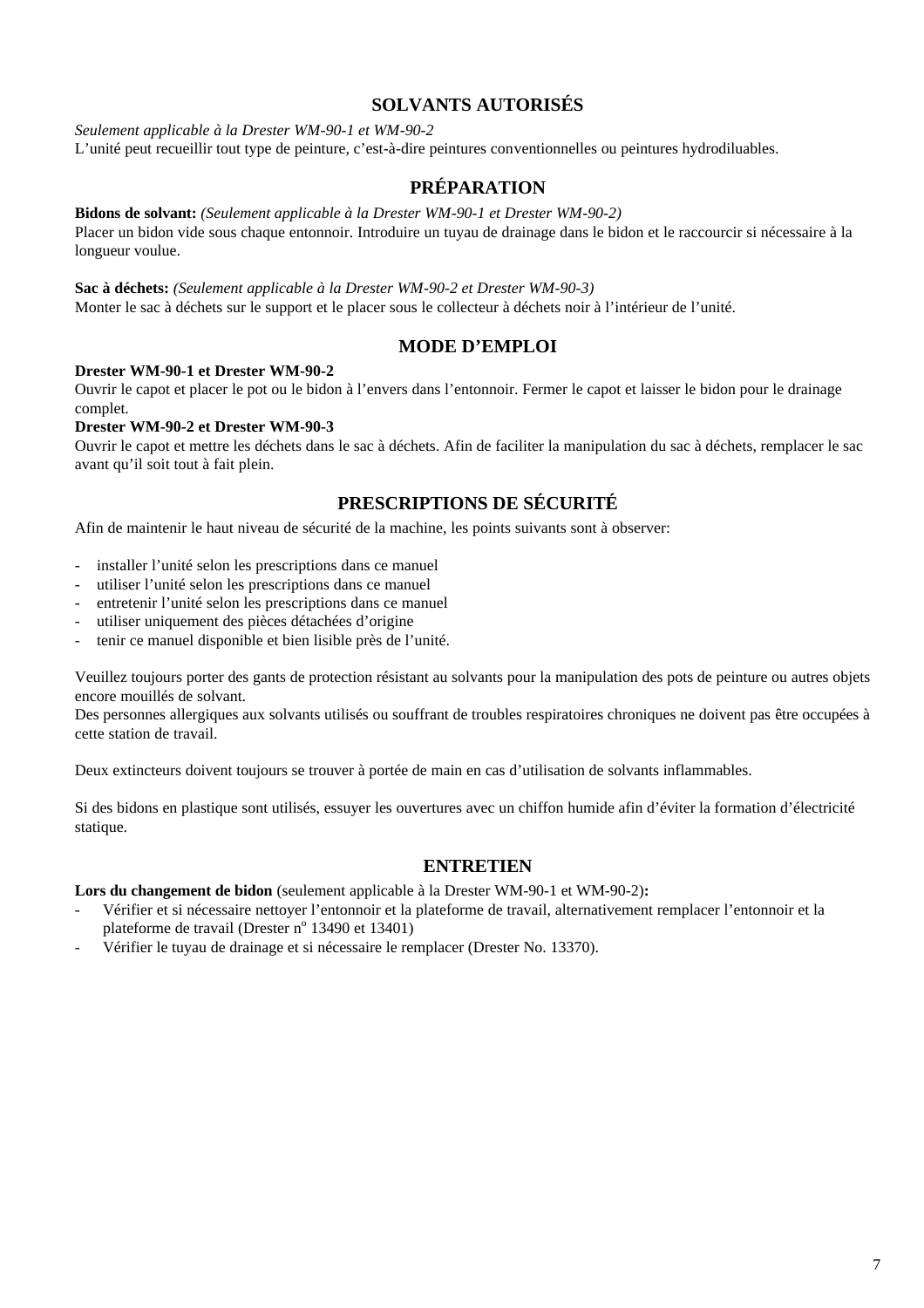#### **SOLVANTS AUTORISÉS**

*Seulement applicable à la Drester WM-90-1 et WM-90-2*

L'unité peut recueillir tout type de peinture, c'est-à-dire peintures conventionnelles ou peintures hydrodiluables.

#### **PRÉPARATION**

**Bidons de solvant:** *(Seulement applicable à la Drester WM-90-1 et Drester WM-90-2)* Placer un bidon vide sous chaque entonnoir. Introduire un tuyau de drainage dans le bidon et le raccourcir si nécessaire à la longueur voulue.

**Sac à déchets:** *(Seulement applicable à la Drester WM-90-2 et Drester WM-90-3)* Monter le sac à déchets sur le support et le placer sous le collecteur à déchets noir à l'intérieur de l'unité.

#### **MODE D'EMPLOI**

#### **Drester WM-90-1 et Drester WM-90-2**

Ouvrir le capot et placer le pot ou le bidon à l'envers dans l'entonnoir. Fermer le capot et laisser le bidon pour le drainage complet.

#### **Drester WM-90-2 et Drester WM-90-3**

Ouvrir le capot et mettre les déchets dans le sac à déchets. Afin de faciliter la manipulation du sac à déchets, remplacer le sac avant qu'il soit tout à fait plein.

### **PRESCRIPTIONS DE SÉCURITÉ**

Afin de maintenir le haut niveau de sécurité de la machine, les points suivants sont à observer:

- installer l'unité selon les prescriptions dans ce manuel
- utiliser l'unité selon les prescriptions dans ce manuel
- entretenir l'unité selon les prescriptions dans ce manuel
- utiliser uniquement des pièces détachées d'origine
- tenir ce manuel disponible et bien lisible près de l'unité.

Veuillez toujours porter des gants de protection résistant au solvants pour la manipulation des pots de peinture ou autres objets encore mouillés de solvant.

Des personnes allergiques aux solvants utilisés ou souffrant de troubles respiratoires chroniques ne doivent pas être occupées à cette station de travail.

Deux extincteurs doivent toujours se trouver à portée de main en cas d'utilisation de solvants inflammables.

Si des bidons en plastique sont utilisés, essuyer les ouvertures avec un chiffon humide afin d'éviter la formation d'électricité statique.

#### **ENTRETIEN**

**Lors du changement de bidon** (seulement applicable à la Drester WM-90-1 et WM-90-2)**:**

- Vérifier et si nécessaire nettoyer l'entonnoir et la plateforme de travail, alternativement remplacer l'entonnoir et la plateforme de travail (Drester nº 13490 et 13401)
- Vérifier le tuyau de drainage et si nécessaire le remplacer (Drester No. 13370).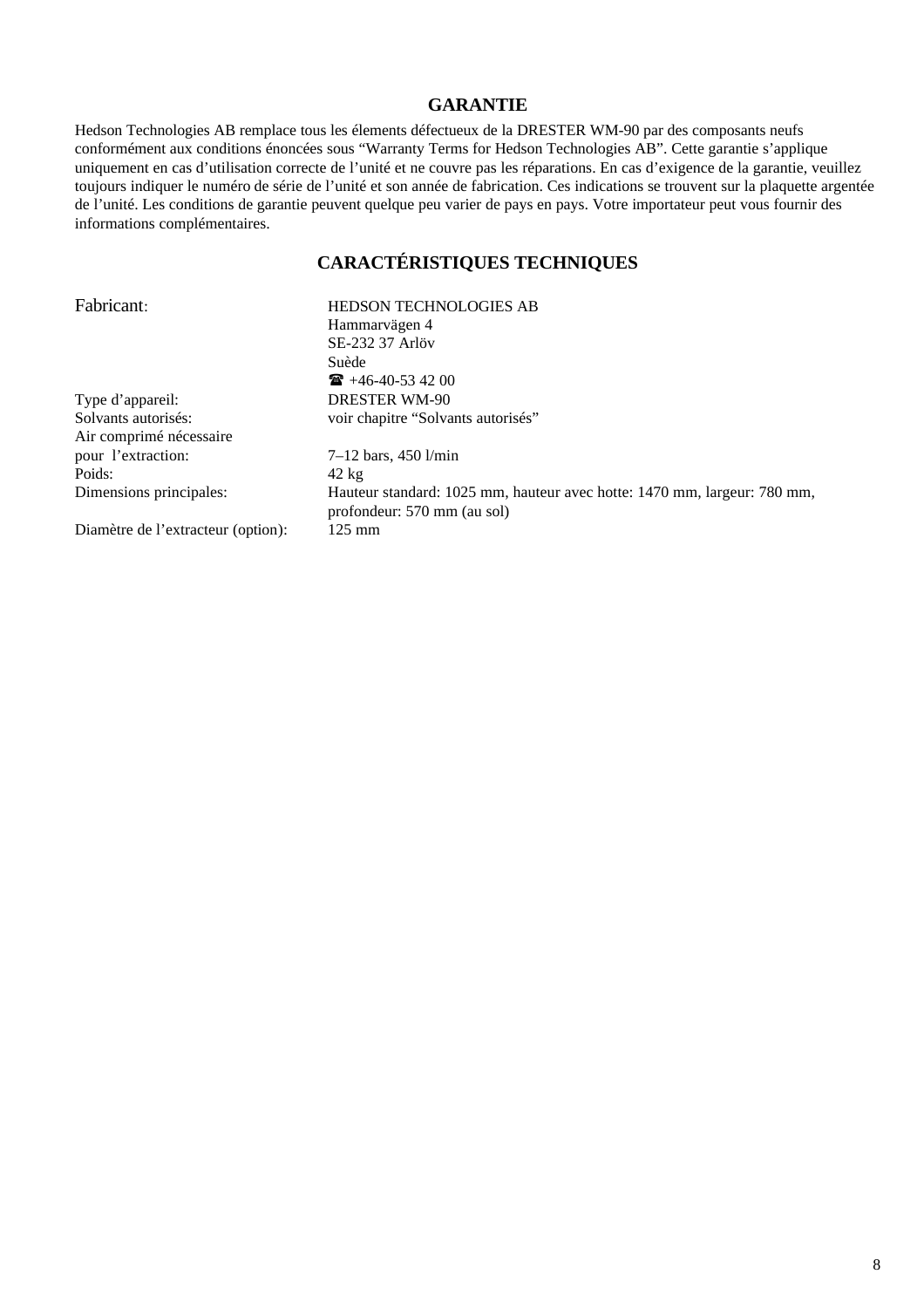#### **GARANTIE**

Hedson Technologies AB remplace tous les élements défectueux de la DRESTER WM-90 par des composants neufs conformément aux conditions énoncées sous "Warranty Terms for Hedson Technologies AB". Cette garantie s'applique uniquement en cas d'utilisation correcte de l'unité et ne couvre pas les réparations. En cas d'exigence de la garantie, veuillez toujours indiquer le numéro de série de l'unité et son année de fabrication. Ces indications se trouvent sur la plaquette argentée de l'unité. Les conditions de garantie peuvent quelque peu varier de pays en pays. Votre importateur peut vous fournir des informations complémentaires.

# **CARACTÉRISTIQUES TECHNIQUES**

| Fabricant:                         | <b>HEDSON TECHNOLOGIES AB</b>                                                                           |
|------------------------------------|---------------------------------------------------------------------------------------------------------|
|                                    | Hammarvägen 4                                                                                           |
|                                    | SE-232 37 Arlöv                                                                                         |
|                                    | Suède                                                                                                   |
|                                    | $\mathbf{R}$ +46-40-53 42 00                                                                            |
| Type d'appareil:                   | <b>DRESTER WM-90</b>                                                                                    |
| Solvants autorisés:                | voir chapitre "Solvants autorisés"                                                                      |
| Air comprimé nécessaire            |                                                                                                         |
| pour l'extraction:                 | $7-12$ bars, 450 $1/\text{min}$                                                                         |
| Poids:                             | $42 \text{ kg}$                                                                                         |
| Dimensions principales:            | Hauteur standard: 1025 mm, hauteur avec hotte: 1470 mm, largeur: 780 mm,<br>profondeur: 570 mm (au sol) |
| Diamètre de l'extracteur (option): | $125 \text{ mm}$                                                                                        |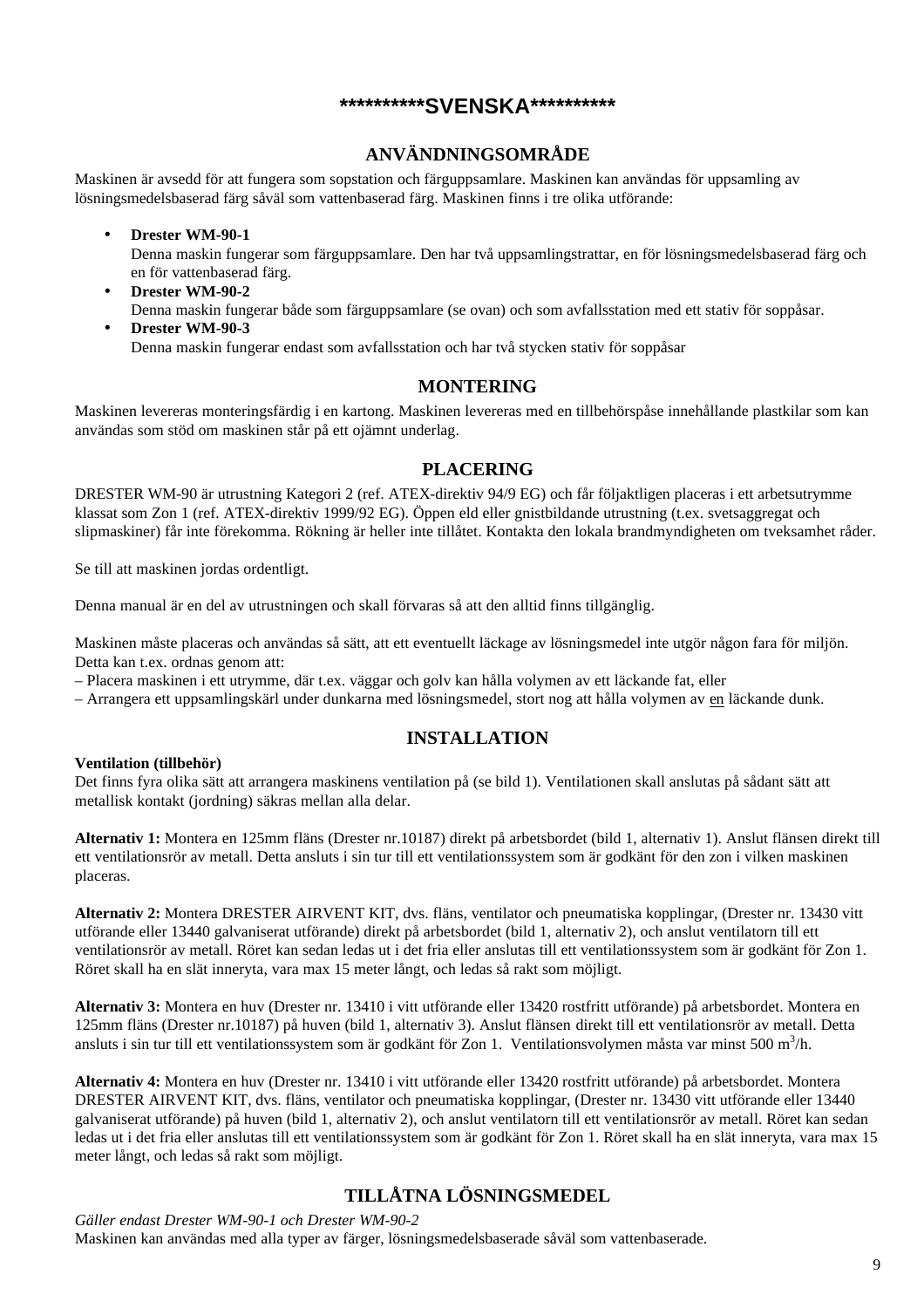#### **\*\*\*\*\*\*\*\*\*\*SVENSKA\*\*\*\*\*\*\*\*\*\***

### **ANVÄNDNINGSOMRÅDE**

Maskinen är avsedd för att fungera som sopstation och färguppsamlare. Maskinen kan användas för uppsamling av lösningsmedelsbaserad färg såväl som vattenbaserad färg. Maskinen finns i tre olika utförande:

- **Drester WM-90-1** Denna maskin fungerar som färguppsamlare. Den har två uppsamlingstrattar, en för lösningsmedelsbaserad färg och en för vattenbaserad färg.
- **Drester WM-90-2** Denna maskin fungerar både som färguppsamlare (se ovan) och som avfallsstation med ett stativ för soppåsar. • **Drester WM-90-3**

Denna maskin fungerar endast som avfallsstation och har två stycken stativ för soppåsar

#### **MONTERING**

Maskinen levereras monteringsfärdig i en kartong. Maskinen levereras med en tillbehörspåse innehållande plastkilar som kan användas som stöd om maskinen står på ett ojämnt underlag.

#### **PLACERING**

DRESTER WM-90 är utrustning Kategori 2 (ref. ATEX-direktiv 94/9 EG) och får följaktligen placeras i ett arbetsutrymme klassat som Zon 1 (ref. ATEX-direktiv 1999/92 EG). Öppen eld eller gnistbildande utrustning (t.ex. svetsaggregat och slipmaskiner) får inte förekomma. Rökning är heller inte tillåtet. Kontakta den lokala brandmyndigheten om tveksamhet råder.

Se till att maskinen jordas ordentligt.

Denna manual är en del av utrustningen och skall förvaras så att den alltid finns tillgänglig.

Maskinen måste placeras och användas så sätt, att ett eventuellt läckage av lösningsmedel inte utgör någon fara för miljön. Detta kan t.ex. ordnas genom att:

– Placera maskinen i ett utrymme, där t.ex. väggar och golv kan hålla volymen av ett läckande fat, eller

– Arrangera ett uppsamlingskärl under dunkarna med lösningsmedel, stort nog att hålla volymen av en läckande dunk.

#### **INSTALLATION**

#### **Ventilation (tillbehör)**

Det finns fyra olika sätt att arrangera maskinens ventilation på (se bild 1). Ventilationen skall anslutas på sådant sätt att metallisk kontakt (jordning) säkras mellan alla delar.

**Alternativ 1:** Montera en 125mm fläns (Drester nr.10187) direkt på arbetsbordet (bild 1, alternativ 1). Anslut flänsen direkt till ett ventilationsrör av metall. Detta ansluts i sin tur till ett ventilationssystem som är godkänt för den zon i vilken maskinen placeras.

**Alternativ 2:** Montera DRESTER AIRVENT KIT, dvs. fläns, ventilator och pneumatiska kopplingar, (Drester nr. 13430 vitt utförande eller 13440 galvaniserat utförande) direkt på arbetsbordet (bild 1, alternativ 2), och anslut ventilatorn till ett ventilationsrör av metall. Röret kan sedan ledas ut i det fria eller anslutas till ett ventilationssystem som är godkänt för Zon 1. Röret skall ha en slät inneryta, vara max 15 meter långt, och ledas så rakt som möjligt.

**Alternativ 3:** Montera en huv (Drester nr. 13410 i vitt utförande eller 13420 rostfritt utförande) på arbetsbordet. Montera en 125mm fläns (Drester nr.10187) på huven (bild 1, alternativ 3). Anslut flänsen direkt till ett ventilationsrör av metall. Detta ansluts i sin tur till ett ventilationssystem som är godkänt för Zon 1. Ventilationsvolymen måsta var minst 500 m $^3$ /h.

**Alternativ 4:** Montera en huv (Drester nr. 13410 i vitt utförande eller 13420 rostfritt utförande) på arbetsbordet. Montera DRESTER AIRVENT KIT, dvs. fläns, ventilator och pneumatiska kopplingar, (Drester nr. 13430 vitt utförande eller 13440 galvaniserat utförande) på huven (bild 1, alternativ 2), och anslut ventilatorn till ett ventilationsrör av metall. Röret kan sedan ledas ut i det fria eller anslutas till ett ventilationssystem som är godkänt för Zon 1. Röret skall ha en slät inneryta, vara max 15 meter långt, och ledas så rakt som möjligt.

## **TILLÅTNA LÖSNINGSMEDEL**

*Gäller endast Drester WM-90-1 och Drester WM-90-2* Maskinen kan användas med alla typer av färger, lösningsmedelsbaserade såväl som vattenbaserade.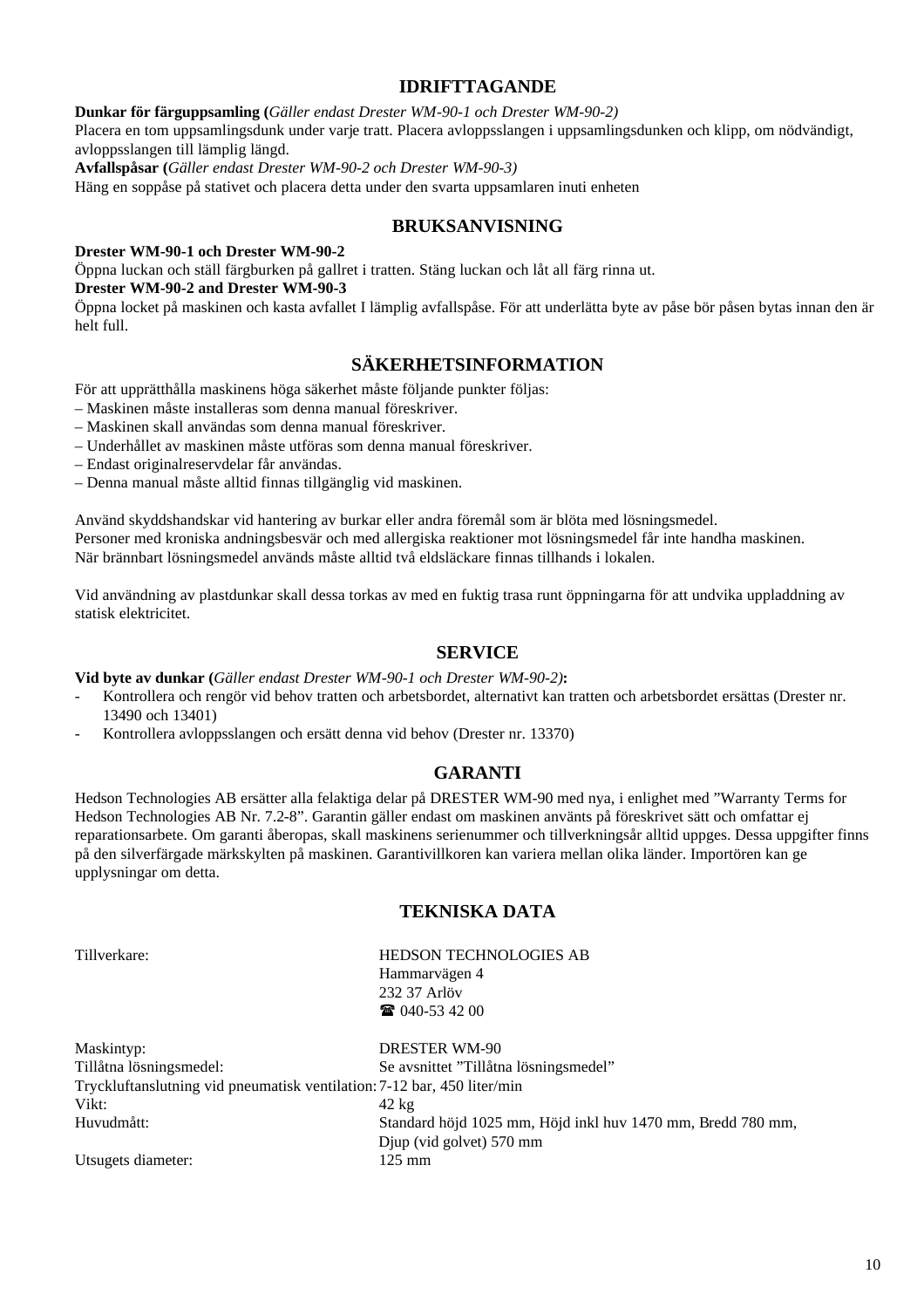#### **IDRIFTTAGANDE**

**Dunkar för färguppsamling (***Gäller endast Drester WM-90-1 och Drester WM-90-2)*

Placera en tom uppsamlingsdunk under varje tratt. Placera avloppsslangen i uppsamlingsdunken och klipp, om nödvändigt, avloppsslangen till lämplig längd.

**Avfallspåsar (***Gäller endast Drester WM-90-2 och Drester WM-90-3)*

Häng en soppåse på stativet och placera detta under den svarta uppsamlaren inuti enheten

#### **BRUKSANVISNING**

**Drester WM-90-1 och Drester WM-90-2**

Öppna luckan och ställ färgburken på gallret i tratten. Stäng luckan och låt all färg rinna ut. **Drester WM-90-2 and Drester WM-90-3**

Öppna locket på maskinen och kasta avfallet I lämplig avfallspåse. För att underlätta byte av påse bör påsen bytas innan den är helt full.

#### **SÄKERHETSINFORMATION**

För att upprätthålla maskinens höga säkerhet måste följande punkter följas:

- Maskinen måste installeras som denna manual föreskriver.
- Maskinen skall användas som denna manual föreskriver.
- Underhållet av maskinen måste utföras som denna manual föreskriver.
- Endast originalreservdelar får användas.
- Denna manual måste alltid finnas tillgänglig vid maskinen.

Använd skyddshandskar vid hantering av burkar eller andra föremål som är blöta med lösningsmedel. Personer med kroniska andningsbesvär och med allergiska reaktioner mot lösningsmedel får inte handha maskinen. När brännbart lösningsmedel används måste alltid två eldsläckare finnas tillhands i lokalen.

Vid användning av plastdunkar skall dessa torkas av med en fuktig trasa runt öppningarna för att undvika uppladdning av statisk elektricitet.

#### **SERVICE**

**Vid byte av dunkar (***Gäller endast Drester WM-90-1 och Drester WM-90-2)***:**

- Kontrollera och rengör vid behov tratten och arbetsbordet, alternativt kan tratten och arbetsbordet ersättas (Drester nr. 13490 och 13401)
- Kontrollera avloppsslangen och ersätt denna vid behov (Drester nr. 13370)

#### **GARANTI**

Hedson Technologies AB ersätter alla felaktiga delar på DRESTER WM-90 med nya, i enlighet med "Warranty Terms for Hedson Technologies AB Nr. 7.2-8". Garantin gäller endast om maskinen använts på föreskrivet sätt och omfattar ej reparationsarbete. Om garanti åberopas, skall maskinens serienummer och tillverkningsår alltid uppges. Dessa uppgifter finns på den silverfärgade märkskylten på maskinen. Garantivillkoren kan variera mellan olika länder. Importören kan ge upplysningar om detta.

#### **TEKNISKA DATA**

| Tillverkare:                                                            | HEDSON TECHNOLOGIES AB                                      |
|-------------------------------------------------------------------------|-------------------------------------------------------------|
|                                                                         | Hammarvägen 4                                               |
|                                                                         | 232 37 Arlöv                                                |
|                                                                         | $\bullet$ 040-53 42 00                                      |
| Maskintyp:                                                              | <b>DRESTER WM-90</b>                                        |
| Tillåtna lösningsmedel:                                                 | Se avsnittet "Tillåtna lösningsmedel"                       |
| Tryckluftanslutning vid pneumatisk ventilation: 7-12 bar, 450 liter/min |                                                             |
| Vikt:                                                                   | $42 \text{ kg}$                                             |
| Huvudmått:                                                              | Standard höjd 1025 mm, Höjd inkl huv 1470 mm, Bredd 780 mm, |
|                                                                         | Djup (vid golvet) 570 mm                                    |
| Utsugets diameter:                                                      | $125 \text{ mm}$                                            |